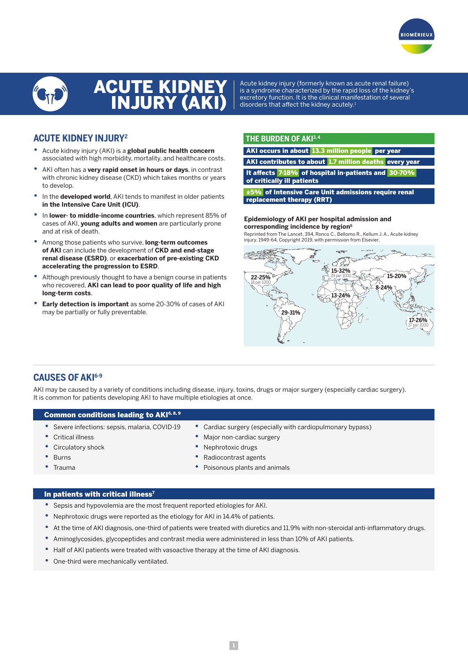



# ACUTE KIDNEY INJURY (AKI)

Acute kidney injury (formerly known as acute renal failure) is a syndrome characterized by the rapid loss of the kidney's excretory function. It is the clinical manifestation of several disorders that affect the kidney acutely.<sup>1</sup>

### **ACUTE KIDNEY INJURY2**

- **•** Acute kidney injury (AKI) is a **global public health concern** associated with high morbidity, mortality, and healthcare costs.
- **•** AKI often has a **very rapid onset in hours or days**, in contrast with chronic kidney disease (CKD) which takes months or years to develop.
- **•** In the **developed world**, AKI tends to manifest in older patients **in the Intensive Care Unit (ICU)**.
- **•** In **lower- to middle-income countries**, which represent 85% of cases of AKI, **young adults and women** are particularly prone and at risk of death.
- **•** Among those patients who survive, **long-term outcomes of AKI** can include the development of **CKD and end-stage renal disease (ESRD)**, or **exacerbation of pre-existing CKD accelerating the progression to ESRD**.
- **•** Although previously thought to have a benign course in patients who recovered, **AKI can lead to poor quality of life and high long-term costs**.
- **• Early detection is important** as some 20-30% of cases of AKI may be partially or fully preventable.

### **THE BURDEN OF AKI3, 4**

AKI occurs in about 13.3 million people per year

AKI contributes to about 1.7 million deaths every year

It affects 7-18% of hospital in-patients and 30-70% of critically ill patients

±5% of Intensive Care Unit admissions require renal replacement therapy (RRT)

#### **Epidemiology of AKI per hospital admission and corresponding incidence by region5**

Reprinted from The Lancet, 394, Ronco C., Bellomo R., Kellum J. A., Acute kidney injury, 1949-64, Copyright 2019, with permission from Elsevier.



### **CAUSES OF AKI6-9**

AKI may be caused by a variety of conditions including disease, injury, toxins, drugs or major surgery (especially cardiac surgery). It is common for patients developing AKI to have multiple etiologies at once.

### Common conditions leading to AKI6, 8, 9

- **•** Severe infections: sepsis, malaria, COVID-19
- **•** Cardiac surgery (especially with cardiopulmonary bypass) **•** Major non-cardiac surgery
- **•** Critical illness **•** Circulatory shock
- 

- **•** Burns
- **•** Trauma
- **•** Nephrotoxic drugs
- **•** Radiocontrast agents
- **•** Poisonous plants and animals

### In patients with critical illness<sup>7</sup>

- **•** Sepsis and hypovolemia are the most frequent reported etiologies for AKI.
- **•** Nephrotoxic drugs were reported as the etiology for AKI in 14.4% of patients.
- **•** At the time of AKI diagnosis, one-third of patients were treated with diuretics and 11.9% with non-steroidal anti-inflammatory drugs.
- **•** Aminoglycosides, glycopeptides and contrast media were administered in less than 10% of AKI patients.
- **•** Half of AKI patients were treated with vasoactive therapy at the time of AKI diagnosis.
- **•** One-third were mechanically ventilated.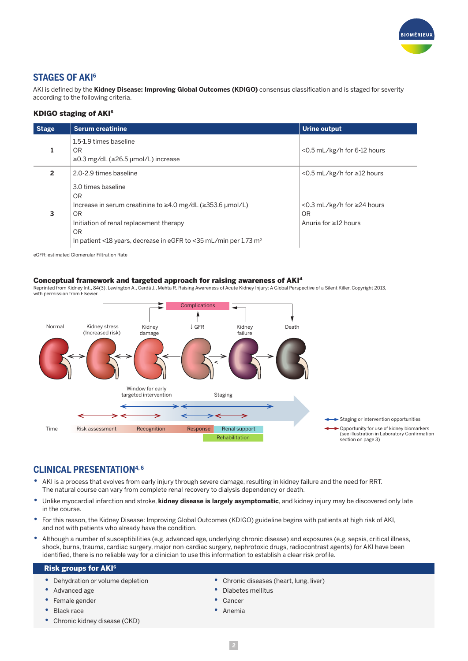

### **STAGES OF AKI6**

AKI is defined by the **Kidney Disease: Improving Global Outcomes (KDIGO)** consensus classification and is staged for severity according to the following criteria.

### KDIGO staging of AKI6

| <b>Stage</b> | <b>Serum creatinine</b>                                                                                                                                                                                                                                         | Urine output                                                            |
|--------------|-----------------------------------------------------------------------------------------------------------------------------------------------------------------------------------------------------------------------------------------------------------------|-------------------------------------------------------------------------|
|              | 1.5-1.9 times baseline<br>OR<br>$\geq$ 0.3 mg/dL ( $\geq$ 26.5 µmol/L) increase                                                                                                                                                                                 | $<$ 0.5 mL/kg/h for 6-12 hours                                          |
| 2            | 2.0-2.9 times baseline                                                                                                                                                                                                                                          | $<$ 0.5 mL/kg/h for $\geq$ 12 hours                                     |
| 3            | 3.0 times baseline<br><b>OR</b><br>Increase in serum creatinine to $\geq$ 4.0 mg/dL ( $\geq$ 353.6 µmol/L)<br><b>OR</b><br>Initiation of renal replacement therapy<br><b>OR</b><br>In patient <18 years, decrease in eGFR to <35 mL/min per 1.73 m <sup>2</sup> | $<$ 0.3 mL/kg/h for $\geq$ 24 hours<br>OR<br>Anuria for $\geq$ 12 hours |

eGFR: estimated Glomerular Filtration Rate

### Conceptual framework and targeted approach for raising awareness of AKI4

Reprinted from Kidney Int., 84(3), Lewington A., Cerdá J., Mehta R. Raising Awareness of Acute Kidney Injury: A Global Perspective of a Silent Killer, Copyright 2013, with permission from Elsevier.



### **CLINICAL PRESENTATION4, 6**

- **•** AKI is a process that evolves from early injury through severe damage, resulting in kidney failure and the need for RRT. The natural course can vary from complete renal recovery to dialysis dependency or death.
- **•** Unlike myocardial infarction and stroke, **kidney disease is largely asymptomatic**, and kidney injury may be discovered only late in the course.
- **•** For this reason, the Kidney Disease: Improving Global Outcomes (KDIGO) guideline begins with patients at high risk of AKI, and not with patients who already have the condition.
- **•** Although a number of susceptibilities (e.g. advanced age, underlying chronic disease) and exposures (e.g. sepsis, critical illness, shock, burns, trauma, cardiac surgery, major non-cardiac surgery, nephrotoxic drugs, radiocontrast agents) for AKI have been identified, there is no reliable way for a clinician to use this information to establish a clear risk profile.

### Risk groups for AKI6

- **•** Dehydration or volume depletion
- **•** Advanced age
- **•** Female gender
- **•** Black race
- **•** Chronic kidney disease (CKD)
- **•** Chronic diseases (heart, lung, liver)
- **•** Diabetes mellitus
- **•** Cancer
- **•** Anemia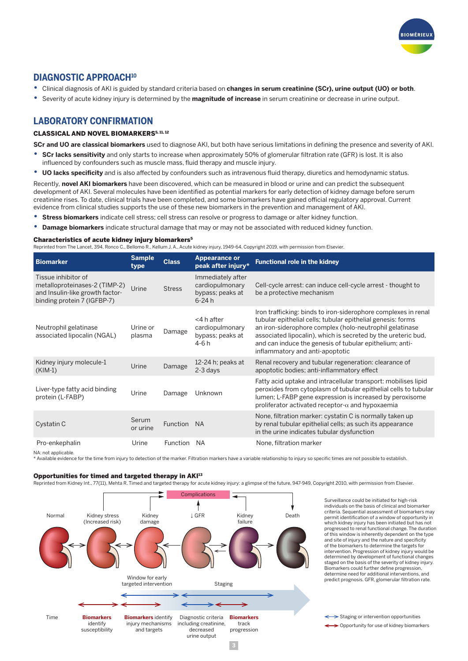

### **DIAGNOSTIC APPROACH10**

- **•** Clinical diagnosis of AKI is guided by standard criteria based on **changes in serum creatinine (SCr), urine output (UO) or both**.
- **•** Severity of acute kidney injury is determined by the **magnitude of increase** in serum creatinine or decrease in urine output.

### **LABORATORY CONFIRMATION**

### CLASSICAL AND NOVEL BIOMARKERS<sup>5, 11, 12</sup>

**SCr and UO are classical biomarkers** used to diagnose AKI, but both have serious limitations in defining the presence and severity of AKI.

- **• SCr lacks sensitivity** and only starts to increase when approximately 50% of glomerular filtration rate (GFR) is lost. It is also influenced by confounders such as muscle mass, fluid therapy and muscle injury.
- **• UO lacks specificity** and is also affected by confounders such as intravenous fluid therapy, diuretics and hemodynamic status.

Recently, **novel AKI biomarkers** have been discovered, which can be measured in blood or urine and can predict the subsequent development of AKI. Several molecules have been identified as potential markers for early detection of kidney damage before serum creatinine rises. To date, clinical trials have been completed, and some biomarkers have gained official regulatory approval. Current evidence from clinical studies supports the use of these new biomarkers in the prevention and management of AKI.

- **• Stress biomarkers** indicate cell stress; cell stress can resolve or progress to damage or alter kidney function.
- **• Damage biomarkers** indicate structural damage that may or may not be associated with reduced kidney function.

#### Characteristics of acute kidney injury biomarkers5

Reprinted from The Lancet, 394, Ronco C., Bellomo R., Kellum J. A., Acute kidney injury, 1949-64, Copyright 2019, with permission from Elsevier.

| <b>Biomarker</b>                                                                                                       | <b>Sample</b><br>type | <b>Class</b>    | <b>Appearance or</b><br>peak after injury*                            | <b>Functional role in the kidney</b>                                                                                                                                                                                                                                                                                                                    |
|------------------------------------------------------------------------------------------------------------------------|-----------------------|-----------------|-----------------------------------------------------------------------|---------------------------------------------------------------------------------------------------------------------------------------------------------------------------------------------------------------------------------------------------------------------------------------------------------------------------------------------------------|
| Tissue inhibitor of<br>metalloproteinases-2 (TIMP-2)<br>and Insulin-like growth factor-<br>binding protein 7 (IGFBP-7) | Urine                 | <b>Stress</b>   | Immediately after<br>cardiopulmonary<br>bypass; peaks at<br>$6 - 24h$ | Cell-cycle arrest: can induce cell-cycle arrest - thought to<br>be a protective mechanism                                                                                                                                                                                                                                                               |
| Neutrophil gelatinase<br>associated lipocalin (NGAL)                                                                   | Urine or<br>plasma    | Damage          | <4 h after<br>cardiopulmonary<br>bypass; peaks at<br>4-6 h            | Iron trafficking: binds to iron-siderophore complexes in renal<br>tubular epithelial cells; tubular epithelial genesis: forms<br>an iron-siderophore complex (holo-neutrophil gelatinase<br>associated lipocalin), which is secreted by the ureteric bud,<br>and can induce the genesis of tubular epithelium; anti-<br>inflammatory and anti-apoptotic |
| Kidney injury molecule-1<br>$(KIM-1)$                                                                                  | Urine                 | Damage          | 12-24 h; peaks at<br>2-3 days                                         | Renal recovery and tubular regeneration: clearance of<br>apoptotic bodies; anti-inflammatory effect                                                                                                                                                                                                                                                     |
| Liver-type fatty acid binding<br>protein (L-FABP)                                                                      | Urine                 | Damage          | Unknown                                                               | Fatty acid uptake and intracellular transport: mobilises lipid<br>peroxides from cytoplasm of tubular epithelial cells to tubular<br>lumen; L-FABP gene expression is increased by peroxisome<br>proliferator activated receptor- $\alpha$ and hypoxaemia                                                                                               |
| Cystatin C                                                                                                             | Serum<br>or urine     | <b>Function</b> | <b>NA</b>                                                             | None, filtration marker: cystatin C is normally taken up<br>by renal tubular epithelial cells; as such its appearance<br>in the urine indicates tubular dysfunction                                                                                                                                                                                     |
| Pro-enkephalin<br>NA: not applicable.                                                                                  | Urine                 | Function        | <b>NA</b>                                                             | None, filtration marker                                                                                                                                                                                                                                                                                                                                 |

NA: not applicable.<br>\* Available evidence for the time from injury to detection of the marker. Filtration markers have a variable relationship to injury so specific times are not possible to establish.

#### Opportunities for timed and targeted therapy in AKI13

Reprinted from Kidney Int., 77(11), Mehta R. Timed and targeted therapy for acute kidney injury: a glimpse of the future, 947-949, Copyright 2010, with permission from Elsevier.



Surveillance could be initiated for high-risk individuals on the basis of clinical and biomarker criteria. Sequential assessment of biomarkers may permit identification of a window of opportunity in which kidney injury has been initiated but has not progressed to renal functional change. The duration of this window is inherently dependent on the type and site of injury and the nature and specificity of the biomarkers to determine the targets for intervention. Progression of kidney injury would be determined by development of functional changes staged on the basis of the severity of kidney injury. Biomarkers could further define progression, determine need for additional interventions, and predict prognosis. GFR, glomerular filtration rate.

Staging or intervention opportunities

> Opportunity for use of kidney biomarkers